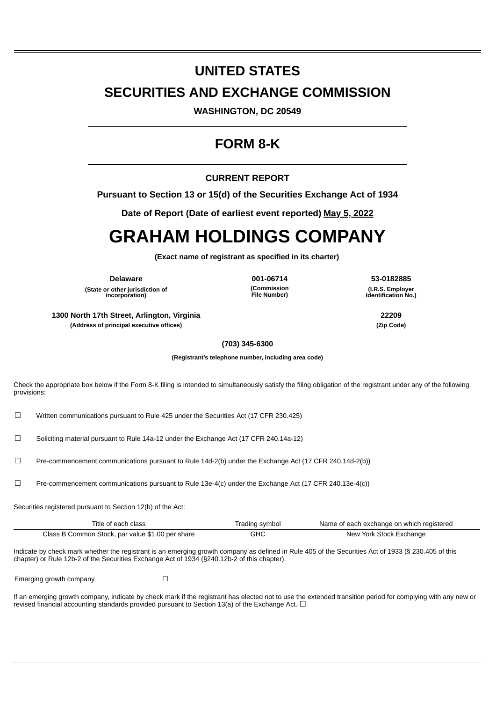# **UNITED STATES SECURITIES AND EXCHANGE COMMISSION**

**WASHINGTON, DC 20549**

# **FORM 8-K**

## **CURRENT REPORT**

**Pursuant to Section 13 or 15(d) of the Securities Exchange Act of 1934**

**Date of Report (Date of earliest event reported) May 5, 2022**

# **GRAHAM HOLDINGS COMPANY**

**(Exact name of registrant as specified in its charter)**

**Delaware 001-06714 53-0182885 (State or other jurisdiction of incorporation)**

**(Commission File Number)**

**(I.R.S. Employer Identification No.)**

**1300 North 17th Street, Arlington, Virginia 22209 (Address of principal executive offices) (Zip Code)**

**(703) 345-6300**

**(Registrant's telephone number, including area code)**

Check the appropriate box below if the Form 8-K filing is intended to simultaneously satisfy the filing obligation of the registrant under any of the following provisions:

☐ Written communications pursuant to Rule 425 under the Securities Act (17 CFR 230.425)

☐ Soliciting material pursuant to Rule 14a-12 under the Exchange Act (17 CFR 240.14a-12)

☐ Pre-commencement communications pursuant to Rule 14d-2(b) under the Exchange Act (17 CFR 240.14d-2(b))

☐ Pre-commencement communications pursuant to Rule 13e-4(c) under the Exchange Act (17 CFR 240.13e-4(c))

Securities registered pursuant to Section 12(b) of the Act:

| Title of each class                              | Trading symbol | Name of each exchange on which registered |
|--------------------------------------------------|----------------|-------------------------------------------|
| Class B Common Stock, par value \$1.00 per share | GHC            | New York Stock Exchange                   |

Indicate by check mark whether the registrant is an emerging growth company as defined in Rule 405 of the Securities Act of 1933 (§ 230.405 of this chapter) or Rule 12b-2 of the Securities Exchange Act of 1934 (§240.12b-2 of this chapter).

Emerging growth company **□** 

If an emerging growth company, indicate by check mark if the registrant has elected not to use the extended transition period for complying with any new or revised financial accounting standards provided pursuant to Section 13(a) of the Exchange Act.  $\Box$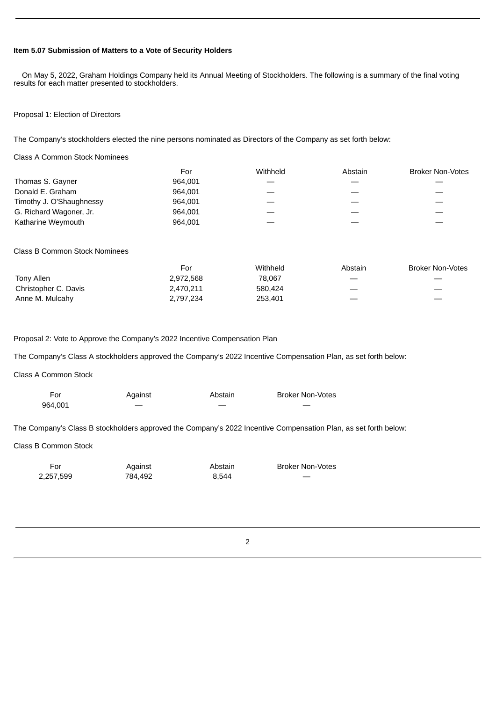#### **Item 5.07 Submission of Matters to a Vote of Security Holders**

On May 5, 2022, Graham Holdings Company held its Annual Meeting of Stockholders. The following is a summary of the final voting results for each matter presented to stockholders.

Proposal 1: Election of Directors

The Company's stockholders elected the nine persons nominated as Directors of the Company as set forth below:

Class A Common Stock Nominees

|                          | For     | Withheld | Abstain | <b>Broker Non-Votes</b>  |
|--------------------------|---------|----------|---------|--------------------------|
| Thomas S. Gayner         | 964.001 |          |         |                          |
| Donald E. Graham         | 964.001 |          |         |                          |
| Timothy J. O'Shaughnessy | 964.001 | _        |         | $\overline{\phantom{0}}$ |
| G. Richard Wagoner, Jr.  | 964.001 |          |         |                          |
| Katharine Weymouth       | 964.001 |          |         | –                        |

#### Class B Common Stock Nominees

|                      | For       | Withheld | Abstain | <b>Broker Non-Votes</b>  |
|----------------------|-----------|----------|---------|--------------------------|
| Tony Allen           | 2.972.568 | 78.067   |         |                          |
| Christopher C. Davis | 2.470.211 | 580.424  |         | $\overline{\phantom{m}}$ |
| Anne M. Mulcahy      | 2,797,234 | 253.401  |         |                          |

Proposal 2: Vote to Approve the Company's 2022 Incentive Compensation Plan

The Company's Class A stockholders approved the Company's 2022 Incentive Compensation Plan, as set forth below:

Class A Common Stock

| For     | Against | Abstain | <b>Broker Non-Votes</b> |
|---------|---------|---------|-------------------------|
| 964.001 |         |         |                         |

The Company's Class B stockholders approved the Company's 2022 Incentive Compensation Plan, as set forth below:

#### Class B Common Stock

| For       | Against | Abstain | <b>Broker Non-Votes</b>  |
|-----------|---------|---------|--------------------------|
| 2,257,599 | 784.492 | 8.544   | $\overline{\phantom{a}}$ |

2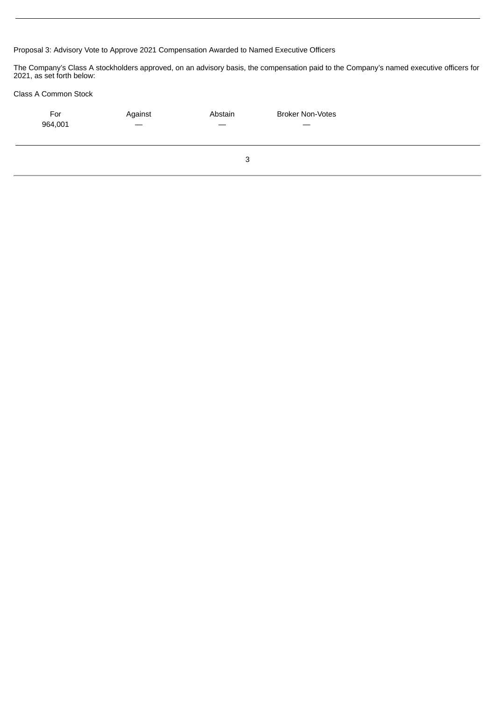Proposal 3: Advisory Vote to Approve 2021 Compensation Awarded to Named Executive Officers

The Company's Class A stockholders approved, on an advisory basis, the compensation paid to the Company's named executive officers for 2021, as set forth below:

#### Class A Common Stock

| For<br>964,001 | Against | Abstain<br>_ | <b>Broker Non-Votes</b> |  |
|----------------|---------|--------------|-------------------------|--|
|                |         | 3            |                         |  |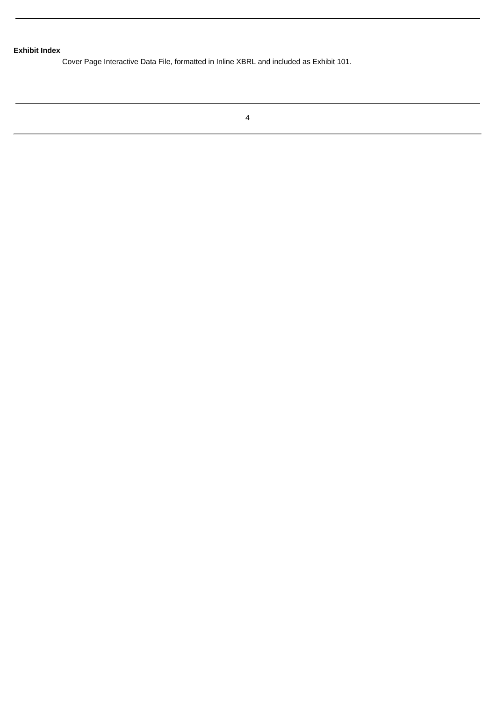## **Exhibit Index**

Cover Page Interactive Data File, formatted in Inline XBRL and included as Exhibit 101.